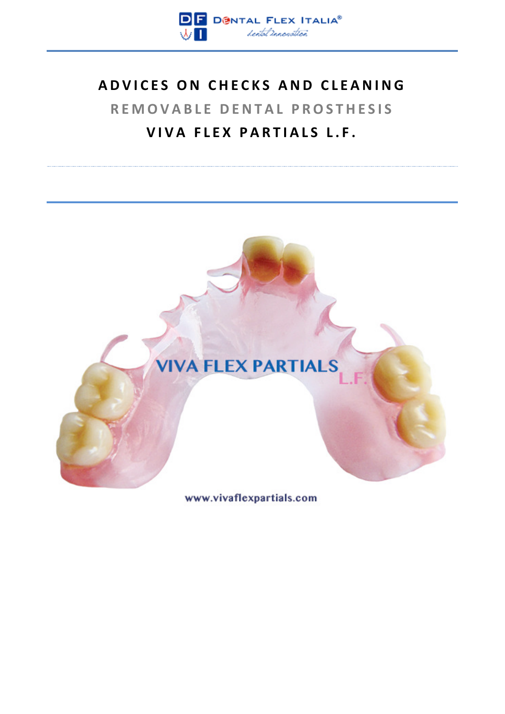

# **ADVICES ON CHECKS AND CLEANING REMOVABLE DENTAL PROSTHESIS VIVA FLEX PARTIALS L.F.**



www.vivaflexpartials.com